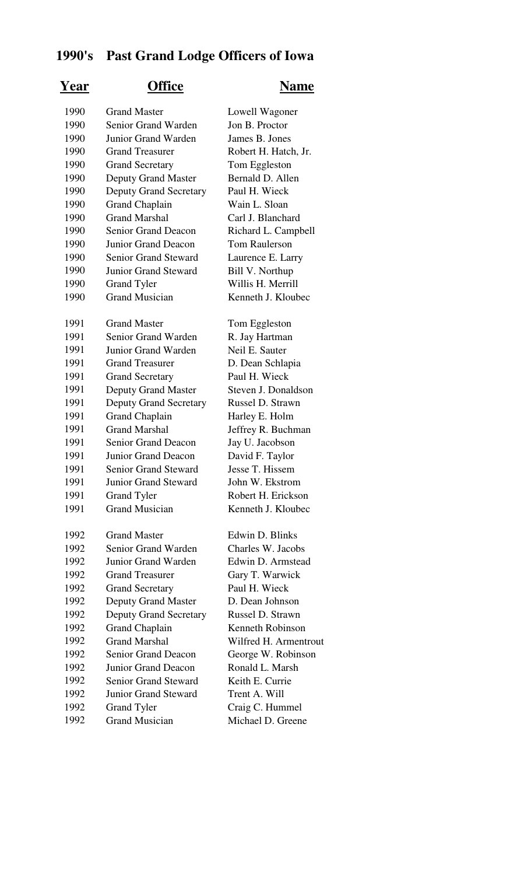## **1990's Past Grand Lodge Officers of Iowa**

## **Year Office Name**

| 1990 | <b>Grand Master</b>           | Lowell Wagoner        |
|------|-------------------------------|-----------------------|
| 1990 | Senior Grand Warden           | Jon B. Proctor        |
| 1990 | Junior Grand Warden           | James B. Jones        |
| 1990 | <b>Grand Treasurer</b>        | Robert H. Hatch, Jr.  |
| 1990 | <b>Grand Secretary</b>        | Tom Eggleston         |
| 1990 | <b>Deputy Grand Master</b>    | Bernald D. Allen      |
| 1990 | <b>Deputy Grand Secretary</b> | Paul H. Wieck         |
| 1990 | <b>Grand Chaplain</b>         | Wain L. Sloan         |
| 1990 | <b>Grand Marshal</b>          | Carl J. Blanchard     |
| 1990 | <b>Senior Grand Deacon</b>    | Richard L. Campbell   |
| 1990 | Junior Grand Deacon           | <b>Tom Raulerson</b>  |
| 1990 | <b>Senior Grand Steward</b>   | Laurence E. Larry     |
| 1990 | <b>Junior Grand Steward</b>   | Bill V. Northup       |
| 1990 | <b>Grand Tyler</b>            | Willis H. Merrill     |
| 1990 | <b>Grand Musician</b>         | Kenneth J. Kloubec    |
| 1991 | <b>Grand Master</b>           | Tom Eggleston         |
| 1991 | Senior Grand Warden           | R. Jay Hartman        |
| 1991 | Junior Grand Warden           | Neil E. Sauter        |
| 1991 | <b>Grand Treasurer</b>        | D. Dean Schlapia      |
| 1991 | <b>Grand Secretary</b>        | Paul H. Wieck         |
| 1991 | <b>Deputy Grand Master</b>    | Steven J. Donaldson   |
| 1991 | <b>Deputy Grand Secretary</b> | Russel D. Strawn      |
| 1991 | <b>Grand Chaplain</b>         | Harley E. Holm        |
| 1991 | <b>Grand Marshal</b>          | Jeffrey R. Buchman    |
| 1991 | <b>Senior Grand Deacon</b>    | Jay U. Jacobson       |
| 1991 | Junior Grand Deacon           | David F. Taylor       |
| 1991 | <b>Senior Grand Steward</b>   | Jesse T. Hissem       |
| 1991 | <b>Junior Grand Steward</b>   | John W. Ekstrom       |
| 1991 | Grand Tyler                   | Robert H. Erickson    |
| 1991 | <b>Grand Musician</b>         | Kenneth J. Kloubec    |
| 1992 | <b>Grand Master</b>           | Edwin D. Blinks       |
| 1992 | Senior Grand Warden           | Charles W. Jacobs     |
| 1992 | Junior Grand Warden           | Edwin D. Armstead     |
| 1992 | <b>Grand Treasurer</b>        | Gary T. Warwick       |
| 1992 | <b>Grand Secretary</b>        | Paul H. Wieck         |
| 1992 | <b>Deputy Grand Master</b>    | D. Dean Johnson       |
| 1992 | <b>Deputy Grand Secretary</b> | Russel D. Strawn      |
| 1992 | <b>Grand Chaplain</b>         | Kenneth Robinson      |
| 1992 | <b>Grand Marshal</b>          | Wilfred H. Armentrout |
| 1992 | Senior Grand Deacon           | George W. Robinson    |
| 1992 | <b>Junior Grand Deacon</b>    | Ronald L. Marsh       |
| 1992 | <b>Senior Grand Steward</b>   | Keith E. Currie       |
| 1992 | <b>Junior Grand Steward</b>   | Trent A. Will         |
| 1992 | <b>Grand Tyler</b>            | Craig C. Hummel       |
| 1992 | <b>Grand Musician</b>         | Michael D. Greene     |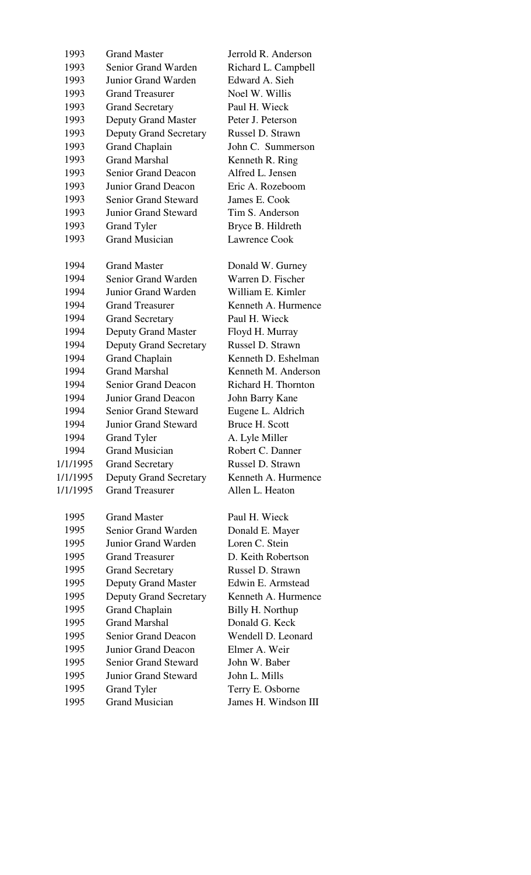| 1993     | <b>Grand Master</b>           | Jerrold R. Anderson  |
|----------|-------------------------------|----------------------|
| 1993     | Senior Grand Warden           | Richard L. Campbell  |
| 1993     | Junior Grand Warden           | Edward A. Sieh       |
| 1993     | <b>Grand Treasurer</b>        | Noel W. Willis       |
| 1993     | <b>Grand Secretary</b>        | Paul H. Wieck        |
| 1993     | <b>Deputy Grand Master</b>    | Peter J. Peterson    |
| 1993     | <b>Deputy Grand Secretary</b> | Russel D. Strawn     |
| 1993     | <b>Grand Chaplain</b>         | John C. Summerson    |
| 1993     | <b>Grand Marshal</b>          | Kenneth R. Ring      |
| 1993     | <b>Senior Grand Deacon</b>    | Alfred L. Jensen     |
| 1993     | <b>Junior Grand Deacon</b>    | Eric A. Rozeboom     |
| 1993     | <b>Senior Grand Steward</b>   | James E. Cook        |
| 1993     | <b>Junior Grand Steward</b>   | Tim S. Anderson      |
| 1993     | <b>Grand Tyler</b>            | Bryce B. Hildreth    |
| 1993     | <b>Grand Musician</b>         | Lawrence Cook        |
| 1994     | <b>Grand Master</b>           | Donald W. Gurney     |
| 1994     | Senior Grand Warden           | Warren D. Fischer    |
| 1994     | Junior Grand Warden           | William E. Kimler    |
| 1994     | <b>Grand Treasurer</b>        | Kenneth A. Hurmence  |
| 1994     | <b>Grand Secretary</b>        | Paul H. Wieck        |
| 1994     | <b>Deputy Grand Master</b>    | Floyd H. Murray      |
| 1994     | <b>Deputy Grand Secretary</b> | Russel D. Strawn     |
| 1994     | <b>Grand Chaplain</b>         | Kenneth D. Eshelman  |
| 1994     | <b>Grand Marshal</b>          | Kenneth M. Anderson  |
| 1994     | <b>Senior Grand Deacon</b>    | Richard H. Thornton  |
| 1994     | <b>Junior Grand Deacon</b>    | John Barry Kane      |
| 1994     | <b>Senior Grand Steward</b>   | Eugene L. Aldrich    |
| 1994     | <b>Junior Grand Steward</b>   | Bruce H. Scott       |
| 1994     | <b>Grand Tyler</b>            | A. Lyle Miller       |
| 1994     | <b>Grand Musician</b>         | Robert C. Danner     |
| 1/1/1995 | <b>Grand Secretary</b>        | Russel D. Strawn     |
| 1/1/1995 | <b>Deputy Grand Secretary</b> | Kenneth A. Hurmence  |
| 1/1/1995 | <b>Grand Treasurer</b>        | Allen L. Heaton      |
| 1995     | <b>Grand Master</b>           | Paul H. Wieck        |
| 1995     | Senior Grand Warden           | Donald E. Mayer      |
| 1995     | Junior Grand Warden           | Loren C. Stein       |
| 1995     | <b>Grand Treasurer</b>        | D. Keith Robertson   |
| 1995     | <b>Grand Secretary</b>        | Russel D. Strawn     |
| 1995     | <b>Deputy Grand Master</b>    | Edwin E. Armstead    |
| 1995     | <b>Deputy Grand Secretary</b> | Kenneth A. Hurmence  |
| 1995     | <b>Grand Chaplain</b>         | Billy H. Northup     |
| 1995     | <b>Grand Marshal</b>          | Donald G. Keck       |
| 1995     | Senior Grand Deacon           | Wendell D. Leonard   |
| 1995     | <b>Junior Grand Deacon</b>    | Elmer A. Weir        |
| 1995     | <b>Senior Grand Steward</b>   | John W. Baber        |
| 1995     | <b>Junior Grand Steward</b>   | John L. Mills        |
| 1995     | <b>Grand Tyler</b>            | Terry E. Osborne     |
| 1995     | <b>Grand Musician</b>         | James H. Windson III |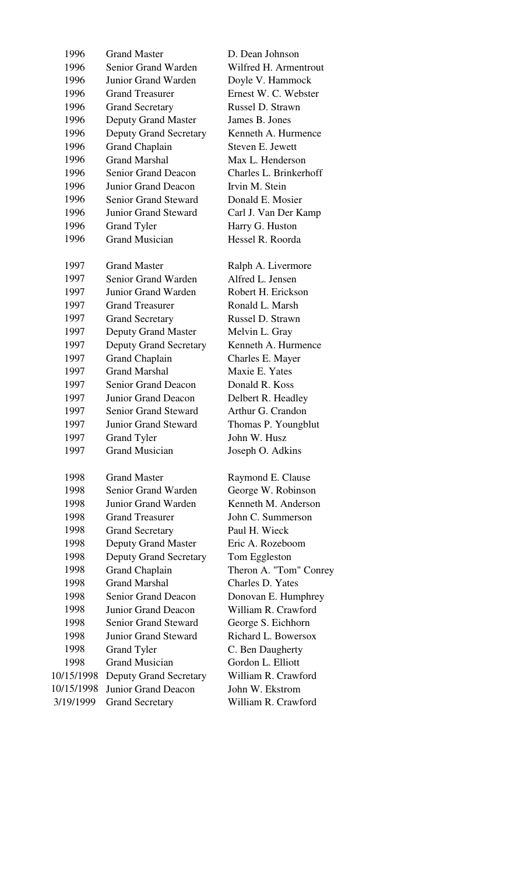| 1996       | <b>Grand Master</b>           | D. Dean Johnson        |
|------------|-------------------------------|------------------------|
| 1996       | Senior Grand Warden           | Wilfred H. Armentrout  |
| 1996       | Junior Grand Warden           | Doyle V. Hammock       |
| 1996       | <b>Grand Treasurer</b>        | Ernest W. C. Webster   |
| 1996       | <b>Grand Secretary</b>        | Russel D. Strawn       |
| 1996       | <b>Deputy Grand Master</b>    | James B. Jones         |
| 1996       | <b>Deputy Grand Secretary</b> | Kenneth A. Hurmence    |
| 1996       | <b>Grand Chaplain</b>         | Steven E. Jewett       |
| 1996       | <b>Grand Marshal</b>          | Max L. Henderson       |
| 1996       | <b>Senior Grand Deacon</b>    | Charles L. Brinkerhoff |
| 1996       | Junior Grand Deacon           | Irvin M. Stein         |
| 1996       | <b>Senior Grand Steward</b>   | Donald E. Mosier       |
| 1996       | <b>Junior Grand Steward</b>   | Carl J. Van Der Kamp   |
| 1996       | <b>Grand Tyler</b>            | Harry G. Huston        |
| 1996       | <b>Grand Musician</b>         | Hessel R. Roorda       |
|            |                               |                        |
| 1997       | <b>Grand Master</b>           | Ralph A. Livermore     |
| 1997       | Senior Grand Warden           | Alfred L. Jensen       |
| 1997       | Junior Grand Warden           | Robert H. Erickson     |
| 1997       | <b>Grand Treasurer</b>        | Ronald L. Marsh        |
| 1997       | <b>Grand Secretary</b>        | Russel D. Strawn       |
| 1997       | <b>Deputy Grand Master</b>    | Melvin L. Gray         |
| 1997       | <b>Deputy Grand Secretary</b> | Kenneth A. Hurmence    |
| 1997       | <b>Grand Chaplain</b>         | Charles E. Mayer       |
| 1997       | <b>Grand Marshal</b>          | Maxie E. Yates         |
| 1997       | <b>Senior Grand Deacon</b>    | Donald R. Koss         |
| 1997       | Junior Grand Deacon           | Delbert R. Headley     |
| 1997       | <b>Senior Grand Steward</b>   | Arthur G. Crandon      |
| 1997       | <b>Junior Grand Steward</b>   | Thomas P. Youngblut    |
| 1997       | Grand Tyler                   | John W. Husz           |
| 1997       | <b>Grand Musician</b>         | Joseph O. Adkins       |
| 1998       | <b>Grand Master</b>           | Raymond E. Clause      |
| 1998       | Senior Grand Warden           | George W. Robinson     |
| 1998       | Junior Grand Warden           | Kenneth M. Anderson    |
| 1998       | <b>Grand Treasurer</b>        | John C. Summerson      |
| 1998       | <b>Grand Secretary</b>        | Paul H. Wieck          |
| 1998       | <b>Deputy Grand Master</b>    | Eric A. Rozeboom       |
| 1998       | <b>Deputy Grand Secretary</b> | Tom Eggleston          |
| 1998       | <b>Grand Chaplain</b>         | Theron A. "Tom" Conrey |
| 1998       | <b>Grand Marshal</b>          | Charles D. Yates       |
| 1998       | <b>Senior Grand Deacon</b>    | Donovan E. Humphrey    |
| 1998       | Junior Grand Deacon           | William R. Crawford    |
| 1998       | <b>Senior Grand Steward</b>   | George S. Eichhorn     |
| 1998       | <b>Junior Grand Steward</b>   | Richard L. Bowersox    |
| 1998       | <b>Grand Tyler</b>            | C. Ben Daugherty       |
| 1998       | <b>Grand Musician</b>         | Gordon L. Elliott      |
| 10/15/1998 | <b>Deputy Grand Secretary</b> | William R. Crawford    |
| 10/15/1998 | Junior Grand Deacon           | John W. Ekstrom        |
| 3/19/1999  | <b>Grand Secretary</b>        | William R. Crawford    |
|            |                               |                        |